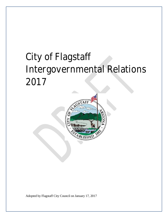# City of Flagstaff Intergovernmental Relations 2017



Adopted by Flagstaff City Council on January 17, 2017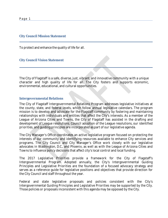#### **City Council Mission Statement**

To protect and enhance the quality of life for all.

**City Council Vision Statement**

The City of Flagstaff is a safe, diverse, just, vibrant, and innovative community with a unique character and high quality of life for all. The City fosters and supports economic, environmental, educational, and cultural opportunities.

### **Intergovernmental Relations**

The City of Flagstaff Intergovernmental Relations Program addresses legislative initiatives at the county, state, and federal levels, which follow annual legislative calendars. The program mission is to develop and advocate for the Flagstaff community by fostering and maintaining relationships with individuals and entities that affect the City's interests. As a member of the League of Arizona Cities and Towns, the City of Flagstaff has assisted in the drafting and development of League resolutions. Council adoption of the League resolutions, our identified priorities, and guiding principles are incorporated as part of our legislative agenda.

The City Manager's Office coordinates an active legislative program focused on protecting the interests of our community and identifying resources available to enhance City services and programs. The City Council and City Manager's Office work closely with our legislative advocates in Washington, D.C., and Phoenix, as well as with the League of Arizona Cities and Towns to influence policy decisions that affect city's local control and local funding.

The 2017 Legislative Priorities provide a framework for the City of Flagstaff's Intergovernmental Program. Adopted annually, the City's Intergovernmental Guiding Principles and Legislative Priorities are the foundation of a focused advocacy strategy and serves as a reference guide for legislative positions and objectives that provide direction for the City Council and staff throughout the year.

Federal and state legislative proposals and policies consistent with the City's Intergovernmental Guiding Principles and Legislative Priorities may be supported by the City. Those policies or proposals inconsistent with this agenda may be opposed by the City.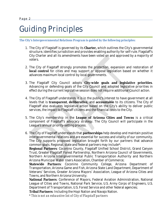# Guiding Principles

*The City's Intergovernmental Relations Program is guided by the following principles:*

- 1. The City of Flagstaff is governed by its **Charter,** which outlines the City's governmental structure, identifies jurisdiction and provides enabling authority for self-rule. Flagstaff's City Charter and all its amendments have been voted on and approved by a majority of voters.
- 2. The City of Flagstaff strongly promotes the protection, expansion and restoration of **local control** for cities and may support or oppose legislation based on whether it advances maximum local control by local governments.
- 3. The Flagstaff City Council adopts **City-wide goals and legislative priorities**. Advancing or defending goals of the City Council and adopted legislative priorities in effect during the current legislative session does not require additional Council action.
- 4. The City of Flagstaff understands it is in the public's interest to have government at all levels that is **transparent**, **deliberative,** and **accountable** to its citizens. The City of Flagstaff also evaluates legislative action based on the City's ability to deliver public services, the impact to Flagstaff citizens and the financial costs to the City.
- 5. The City's membership in the **League of Arizona Cities and Towns** is a critical component of Flagstaff's advocacy strategy. The City Council will participate in the League's annual priority-setting process.

6. The City of Flagstaff understands that **partnerships** help develop and maintain positive intergovernmental relations and are essential for success and vitality of our community. The City supports proposed legislation brought forth by our partners that advance common goals. Regional, state and federal partners may include\*:

**Regional Partners**: Coconino County, Flagstaff Unified School District, Grand Canyon Trust, Greater Flagstaff Forest Partnership, Northern Arizona Council of Governments, Northern Arizona Intergovernmental Public Transportation Authority and Northern Arizona Municipal Water Users Association, Chamber of Commerce;

**Statewide Partners**: Coconino Community College, Arizona Department of Transportation, Arizona Game and Fish, Arizona State Land Department, Department of Veterans' Services, Greater Arizona Mayors' Association, League of Arizona Cities and Towns, and Northern Arizona University;

**National Partners**: Conference of Mayors, Federal Aviation Administration, National League of Cities and Towns, National Park Service, U.S. Army Corps of Engineers, U.S. Department of Transportation, U.S. Forest Service and other federal agencies;

**Tribal Partners**: Including the Hopi Nation and Navajo Nation.

*\* This is not an exhaustive list of City of Flagstaff partners*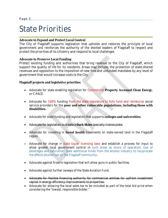### State Priorities

### **Advocate to Expand and Protect Local Control**

The City of Flagstaff supports legislation that upholds and restores the principle of local government and reinforces the authority of the elected leaders of Flagstaff to respect and protect the priorities of its citizenry and respond to local challenges.

### **Advocate to Preserve Local Funding**

Protect existing funding and authorities that bring revenue to the City of Flagstaff, which support the quality of life for its residents. Areas may include, the protection of state-shared revenues and opposition to the imposition of new fees and unfunded mandates by any level of government that would increase costs to the City.

**Flagstaff projects and legislative priorities**

- x Advocate for state enabling legislation for Commercial **Property Accessed Clean Energy**, or C-PACE.
- Advocate for 100% funding from the state legislature to fully fund and reimburse social service providers for the **poor and other vulnerable populations, including those with disabilities.**
- x Advocate for state funding and legislation that supports **colleges and universities**.
- x Advocate for legislation to create a **Dark Skies** specialty license plate.
- Advocate for investing in forest health treatments on state-owned land in the Flagstaff region.
- Advocate for change in state liquor licensing laws and establish a process for input to allow greater local government control in such areas as hours of operation, size of beverages and saturation. Seek additional funds from the alcohol industry to reciprocate the affects alcohol has on the Flagstaff community.
- Advocate against firearm legislation that will allow guns in public facilities.
- Advocate against further sweeps of the State Aviation Fund.
- Advocate for flexible financing authority for commercial entities for upfront investment capital in energy efficiency improvements to properties.
- Advocate for allowing the local sales tax to be included as part of the total bid price when considering the "lowest, responsible bidder."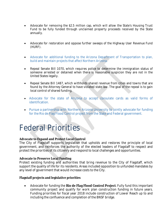- Advocate for removing the \$2.5 million cap, which will allow the State's Housing Trust Fund to be fully funded through unclaimed property proceeds received by the State annually.
- Advocate for restoration and oppose further sweeps of the Highway User Revenue Fund (HURF).
- Advocate for additional funding to the Arizona Department of Transportation to plan, build and maintain projects that affect Northern Arizona.
- Repeal Senate Bill 1070, which requires police to determine the immigration status of someone arrested or detained when there is reasonable suspicion they are not in the United States legally.
- x Repeal Senate Bill 1487, which withholds shared revenue from cities and towns that are found by the Attorney General to have violated state law. The goal of the repeal is to gain local control of shared funding.
- x Advocate for the state of Arizona to accept consulate cards as valid forms of identification.
- Pursue a partnership with Northern Arizona University to jointly advocate for funding for the Rio de Flag Flood Control project from the State and Federal government.

# Federal Priorities

**Advocate to Expand and Protect Local Control**

The City of Flagstaff supports legislation that upholds and restores the principle of local government, and reinforces the authority of the elected leaders of Flagstaff to respect and protect the priorities of its citizenry and respond to local challenges and opportunities.

**Advocate to Preserve Local Funding**

Protect existing funding and authorities that bring revenue to the City of Flagstaff, which support the quality of life for its residents. Areas included opposition to unfunded mandates by any level of government that would increase costs to the City.

**Flagstaff projects and legislative priorities**

x Advocate for funding the **Rio de Flag Flood Control Project**. Fully fund this important community project and qualify for work plan construction funding in future years. Funding priorities for fiscal year 2018 include construction of Lower Reach up to and including the confluence and completion of the BNSF bridge.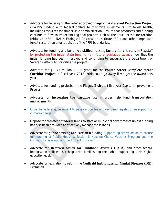- x Advocate for leveraging the voter approved **Flagstaff Watershed Protection Project (FWPP)** funding with federal dollars to maximize investments into forest health, including resources for timber sale administration. Ensure that resources and funding continue to flow to important regional projects such as the Four Forests Restoration Initiative (4FRI), NAU's Ecological Restoration Institute (ERI) and other important forest restoration efforts outside of the 4FRI boundaries.
- x Advocate for funding and building a **skilled nursing facility for veterans** in Flagstaff by protecting the initial state funding from future legislative sweeps now that the initial funding has been improved and continuing to encourage the Department of Veterans' Affairs to prioritize the project.
- x Advocate for \$11.75 million TIGER grant for the **Fourth Street Complete Street Corridor Project** in fiscal year 2018 (\*this could go away if we get the award this year).
- x Advocate for funding projects in the **Flagstaff Airport** five-year Capital Improvement Program.
- x Advocate for **increasing the gasoline tax** in order help fund transportation improvements.
- Urge the federal government to pass carbon fee and dividend legislation in support of climate change.
- x Oppose the transfer of **federal lands** to state or municipal governments unless funding has also been provided to effectively manage those lands.
- **Advocate for public housing and Section 8 funding.** Support legislative action to ensure full funding of Public Housing, Section 8 Housing Choice Voucher Program and the Community Development Block Grant program.
- x Advocate for **Deferred Action for Childhood Arrivals (DACA)** and other federal immigration policies that help keep families together while supporting their higher education goals.
- x Advocate for legislation to reform the **Medicaid Institutions for Mental Diseases (IMD) Exclusion.**